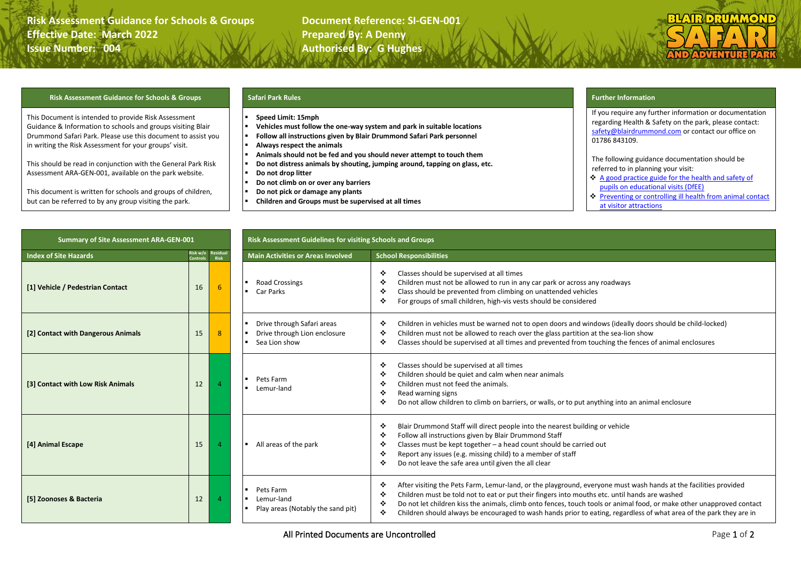### **Risk Assessment Guidance for Schools & Groups building and Document Reference: SI-GEN-001 Effective Date: March 2022 Prepared By: A Denny Issue Number: 004 <b>Authorised By: G Hughes**

# **SIIMMO /ENTU**

### **Risk Assessment Guidance for Schools & Groups Safari Park Rules Further Information**

This Document is intended to provide Risk Assessment Guidance & Information to schools and groups visiting Blair Drummond Safari Park. Please use this document to assist you in writing the Risk Assessment for your groups' visit.

This should be read in conjunction with the General Park Risk Assessment ARA-GEN-001, available on the park website.

This document is written for schools and groups of children, but can be referred to by any group visiting the park.

- **Speed Limit: 15mph**
- **Vehicles must follow the one-way system and park in suitable locations**
- **Follow all instructions given by Blair Drummond Safari Park personnel**
- **Always respect the animals**
- **Animals should not be fed and you should never attempt to touch them**
- **Do not distress animals by shouting, jumping around, tapping on glass, etc.**
- **Do not drop litter**
- **Do not climb on or over any barriers**
- **Do not pick or damage any plants**
- **Children and Groups must be supervised at all times**

If you require any further information or documentation regarding Health & Safety on the park, please contact: [safety@blairdrummond.com](mailto:safety@blairdrummond.com) or contact our office on 01786 843109.

The following guidance documentation should be referred to in planning your visit:

- ❖ [A good practice guide for the health and safety of](https://www.ase.org.uk/documents/p1340ahspv/p1.3-4.0a-hspv.pdf)  [pupils on educational visits](https://www.ase.org.uk/documents/p1340ahspv/p1.3-4.0a-hspv.pdf) (DfEE)
- ❖ [Preventing or controlling ill health from animal contact](http://www.countrysideclassroom.org.uk/partners/farming-and-countryside-education-face/resources)  [at visitor attractions](http://www.countrysideclassroom.org.uk/partners/farming-and-countryside-education-face/resources)

| <b>Summary of Site Assessment ARA-GEN-001</b> |    |                                    | Risk Assessment Guidelines for visiting Schools and Groups                  |                                                                                                                                                                                                                                                                                                                                                                                                                                                                                       |
|-----------------------------------------------|----|------------------------------------|-----------------------------------------------------------------------------|---------------------------------------------------------------------------------------------------------------------------------------------------------------------------------------------------------------------------------------------------------------------------------------------------------------------------------------------------------------------------------------------------------------------------------------------------------------------------------------|
| <b>Index of Site Hazards</b>                  |    | Risk w/o Residual<br>Controls Risk | <b>Main Activities or Areas Involved</b>                                    | <b>School Responsibilities</b>                                                                                                                                                                                                                                                                                                                                                                                                                                                        |
| [1] Vehicle / Pedestrian Contact              | 16 | 6                                  | <b>Road Crossings</b><br>Car Parks                                          | Classes should be supervised at all times<br>٠<br>Children must not be allowed to run in any car park or across any roadways<br>❖<br>Class should be prevented from climbing on unattended vehicles<br>٠<br>For groups of small children, high-vis vests should be considered<br>❖                                                                                                                                                                                                    |
| [2] Contact with Dangerous Animals            | 15 | 8                                  | Drive through Safari areas<br>Drive through Lion enclosure<br>Sea Lion show | Children in vehicles must be warned not to open doors and windows (ideally doors should be child-locked)<br>٠<br>Children must not be allowed to reach over the glass partition at the sea-lion show<br>٠<br>Classes should be supervised at all times and prevented from touching the fences of animal enclosures<br>❖                                                                                                                                                               |
| [3] Contact with Low Risk Animals             | 12 |                                    | Pets Farm<br>Lemur-land                                                     | Classes should be supervised at all times<br>٠<br>Children should be quiet and calm when near animals<br>∙<br>Children must not feed the animals.<br>٠<br>❖<br>Read warning signs<br>Do not allow children to climb on barriers, or walls, or to put anything into an animal enclosure<br>❖                                                                                                                                                                                           |
| [4] Animal Escape                             | 15 |                                    | All areas of the park                                                       | Blair Drummond Staff will direct people into the nearest building or vehicle<br>❖<br>Follow all instructions given by Blair Drummond Staff<br>٠<br>Classes must be kept together - a head count should be carried out<br>❖<br>Report any issues (e.g. missing child) to a member of staff<br>٠<br>Do not leave the safe area until given the all clear<br>٠                                                                                                                           |
| [5] Zoonoses & Bacteria                       | 12 |                                    | Pets Farm<br>Lemur-land<br>Play areas (Notably the sand pit)                | After visiting the Pets Farm, Lemur-land, or the playground, everyone must wash hands at the facilities provided<br>❖<br>Children must be told not to eat or put their fingers into mouths etc. until hands are washed<br>٠<br>Do not let children kiss the animals, climb onto fences, touch tools or animal food, or make other unapproved contact<br>❖<br>Children should always be encouraged to wash hands prior to eating, regardless of what area of the park they are in<br>❖ |